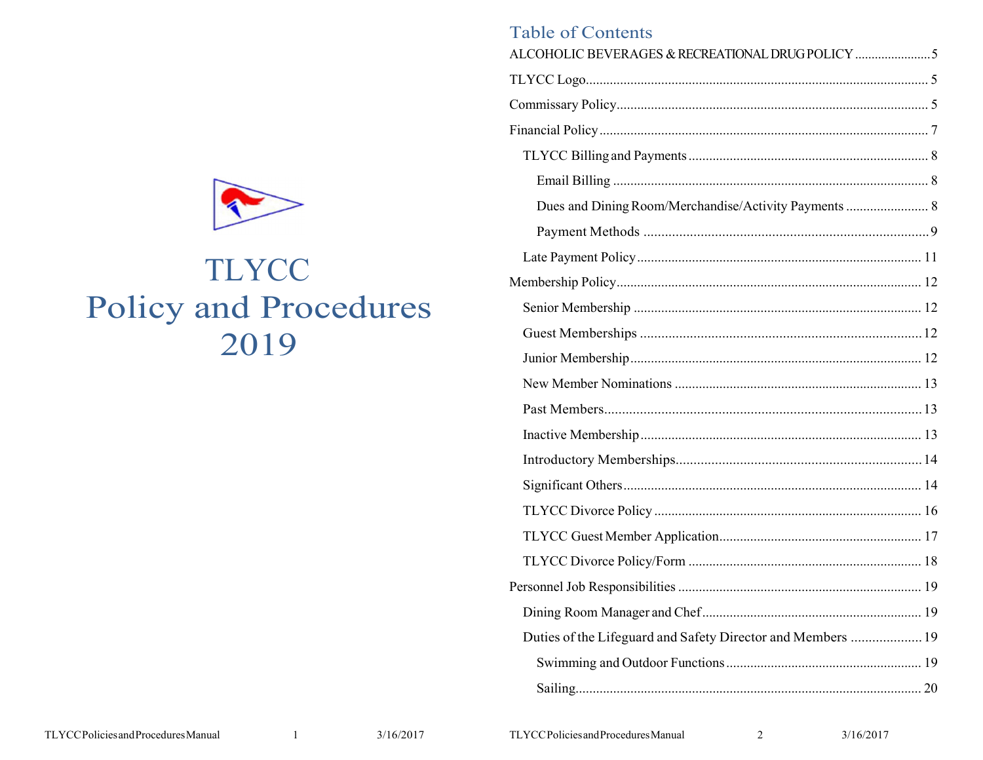

# TLYCC **Policy and Procedures** 2019

| <b>Table of Contents</b>                                    |  |
|-------------------------------------------------------------|--|
| ALCOHOLIC BEVERAGES & RECREATIONAL DRUG POLICY              |  |
|                                                             |  |
|                                                             |  |
|                                                             |  |
|                                                             |  |
|                                                             |  |
| Dues and Dining Room/Merchandise/Activity Payments  8       |  |
|                                                             |  |
|                                                             |  |
|                                                             |  |
|                                                             |  |
|                                                             |  |
|                                                             |  |
|                                                             |  |
|                                                             |  |
|                                                             |  |
|                                                             |  |
|                                                             |  |
|                                                             |  |
|                                                             |  |
|                                                             |  |
|                                                             |  |
|                                                             |  |
| Duties of the Lifeguard and Safety Director and Members  19 |  |
|                                                             |  |
|                                                             |  |
|                                                             |  |

TLYCCPolicies and Procedures Manual

3/16/2017

2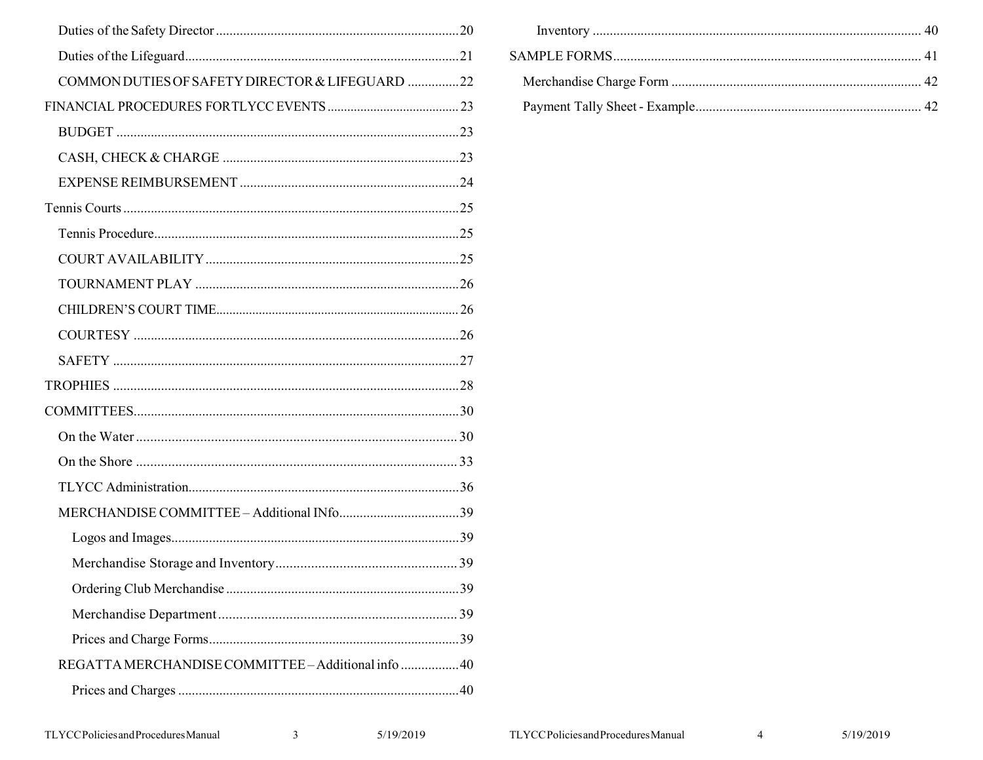| COMMON DUTIES OF SAFETY DIRECTOR & LIFEGUARD 22     |  |
|-----------------------------------------------------|--|
|                                                     |  |
|                                                     |  |
|                                                     |  |
|                                                     |  |
|                                                     |  |
|                                                     |  |
|                                                     |  |
|                                                     |  |
|                                                     |  |
|                                                     |  |
|                                                     |  |
|                                                     |  |
|                                                     |  |
|                                                     |  |
|                                                     |  |
|                                                     |  |
|                                                     |  |
|                                                     |  |
|                                                     |  |
|                                                     |  |
|                                                     |  |
|                                                     |  |
| REGATTA MERCHANDISE COMMITTEE - Additional info  40 |  |
|                                                     |  |
|                                                     |  |

 $\overline{\mathbf{3}}$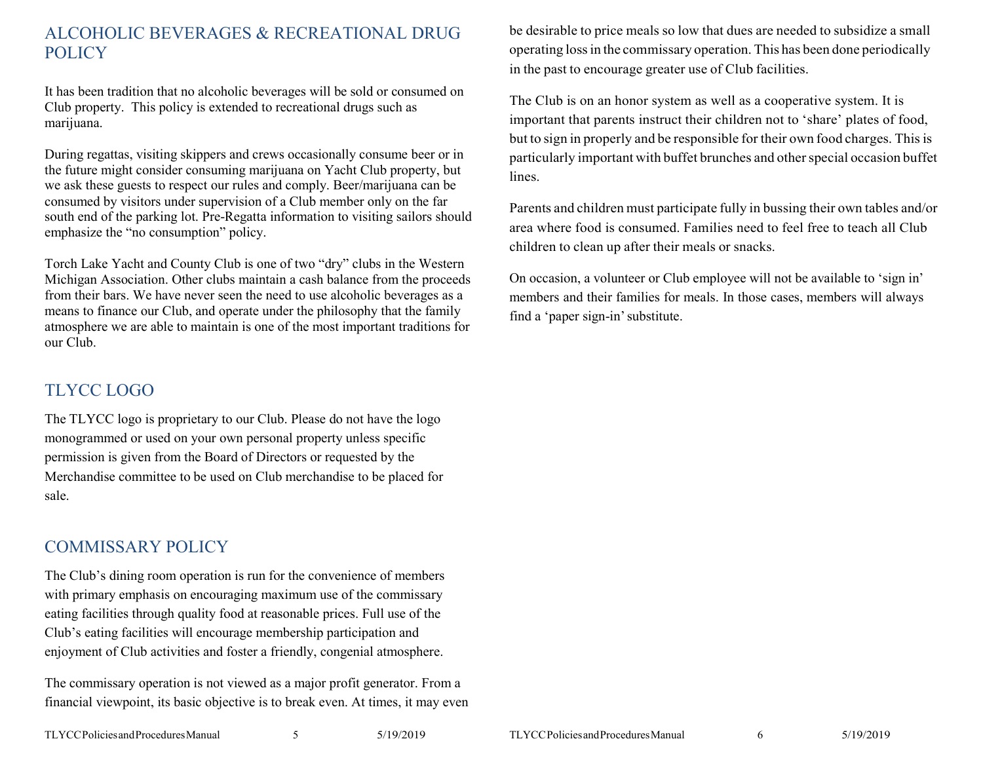# ALCOHOLIC BEVERAGES & RECREATIONAL DRUG **POLICY**

It has been tradition that no alcoholic beverages will be sold or consumed on Club property. This policy is extended to recreational drugs such as marijuana.

During regattas, visiting skippers and crews occasionally consume beer or in the future might consider consuming marijuana on Yacht Club property, but we ask these guests to respect our rules and comply. Beer/marijuana can be consumed by visitors under supervision of a Club member only on the far south end of the parking lot. Pre-Regatta information to visiting sailors should emphasize the "no consumption" policy.

Torch Lake Yacht and County Club is one of two "dry" clubs in the Western Michigan Association. Other clubs maintain a cash balance from the proceeds from their bars. We have never seen the need to use alcoholic beverages as a means to finance our Club, and operate under the philosophy that the family atmosphere we are able to maintain is one of the most important traditions for our Club.

# TLYCC LOGO

The TLYCC logo is proprietary to our Club. Please do not have the logo monogrammed or used on your own personal property unless specific permission is given from the Board of Directors or requested by the Merchandise committee to be used on Club merchandise to be placed for sale.

# COMMISSARY POLICY

The Club's dining room operation is run for the convenience of members with primary emphasis on encouraging maximum use of the commissary eating facilities through quality food at reasonable prices. Full use of the Club's eating facilities will encourage membership participation and enjoyment of Club activities and foster a friendly, congenial atmosphere.

The commissary operation is not viewed as a major profit generator. From a financial viewpoint, its basic objective is to break even. At times, it may even be desirable to price meals so low that dues are needed to subsidize a small operating lossin the commissary operation. This has been done periodically in the past to encourage greater use of Club facilities.

The Club is on an honor system as well as a cooperative system. It is important that parents instruct their children not to 'share' plates of food, but to sign in properly and be responsible for their own food charges. This is particularly important with buffet brunches and other special occasion buffet lines.

Parents and children must participate fully in bussing their own tables and/or area where food is consumed. Families need to feel free to teach all Club children to clean up after their meals or snacks.

On occasion, a volunteer or Club employee will not be available to 'sign in' members and their families for meals. In those cases, members will always find a 'paper sign-in'substitute.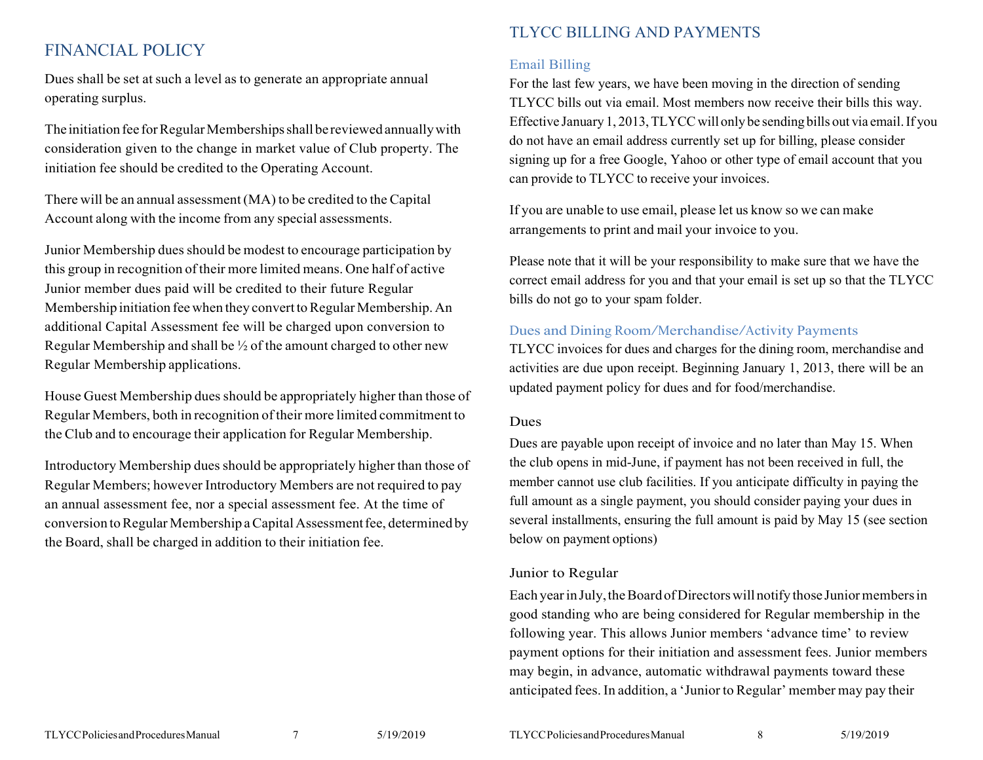# FINANCIAL POLICY

Dues shall be set at such a level as to generate an appropriate annual operating surplus.

The initiation fee for Regular Memberships shall be reviewed annually with consideration given to the change in market value of Club property. The initiation fee should be credited to the Operating Account.

There will be an annual assessment (MA) to be credited to the Capital Account along with the income from any special assessments.

Junior Membership dues should be modest to encourage participation by this group in recognition of their more limited means. One half of active Junior member dues paid will be credited to their future Regular Membership initiation fee when they convert to Regular Membership. An additional Capital Assessment fee will be charged upon conversion to Regular Membership and shall be ½ of the amount charged to other new Regular Membership applications.

House Guest Membership duesshould be appropriately higher than those of Regular Members, both in recognition of their more limited commitment to the Club and to encourage their application for Regular Membership.

Introductory Membership duesshould be appropriately higher than those of Regular Members; however Introductory Members are not required to pay an annual assessment fee, nor a special assessment fee. At the time of conversion to Regular Membership a Capital Assessment fee, determined by the Board, shall be charged in addition to their initiation fee.

# TLYCC BILLING AND PAYMENTS

#### Email Billing

For the last few years, we have been moving in the direction of sending TLYCC bills out via email. Most members now receive their bills this way. Effective January 1, 2013, TLYCC will only be sending bills out via email. If you do not have an email address currently set up for billing, please consider signing up for a free Google, Yahoo or other type of email account that you can provide to TLYCC to receive your invoices.

If you are unable to use email, please let us know so we can make arrangements to print and mail your invoice to you.

Please note that it will be your responsibility to make sure that we have the correct email address for you and that your email is set up so that the TLYCC bills do not go to your spam folder.

#### Dues and Dining Room/Merchandise/Activity Payments

TLYCC invoices for dues and charges for the dining room, merchandise and activities are due upon receipt. Beginning January 1, 2013, there will be an updated payment policy for dues and for food/merchandise.

#### Dues

Dues are payable upon receipt of invoice and no later than May 15. When the club opens in mid-June, if payment has not been received in full, the member cannot use club facilities. If you anticipate difficulty in paying the full amount as a single payment, you should consider paying your dues in several installments, ensuring the full amount is paid by May 15 (see section below on payment options)

#### Junior to Regular

Each year in July, the Board of Directors will notify those Junior members in good standing who are being considered for Regular membership in the following year. This allows Junior members 'advance time' to review payment options for their initiation and assessment fees. Junior members may begin, in advance, automatic withdrawal payments toward these anticipated fees. In addition, a 'Junior to Regular' member may pay their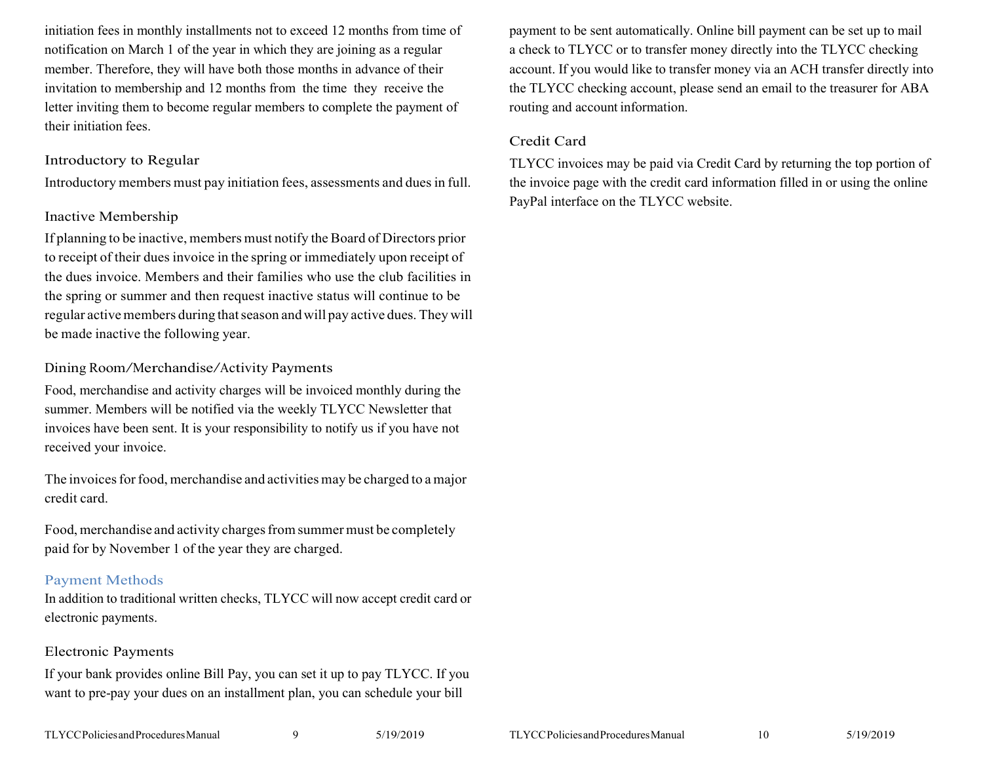initiation fees in monthly installments not to exceed 12 months from time of notification on March 1 of the year in which they are joining as a regular member. Therefore, they will have both those months in advance of their invitation to membership and 12 months from the time they receive the letter inviting them to become regular members to complete the payment of their initiation fees.

#### Introductory to Regular

Introductory members must pay initiation fees, assessments and duesin full.

#### Inactive Membership

If planning to be inactive, members must notify the Board of Directors prior to receipt of their dues invoice in the spring or immediately upon receipt of the dues invoice. Members and their families who use the club facilities in the spring or summer and then request inactive status will continue to be regular active members during that season and will pay active dues. They will be made inactive the following year.

#### Dining Room/Merchandise/Activity Payments

Food, merchandise and activity charges will be invoiced monthly during the summer. Members will be notified via the weekly TLYCC Newsletter that invoices have been sent. It is your responsibility to notify us if you have not received your invoice.

The invoices for food, merchandise and activities may be charged to a major credit card.

Food, merchandise and activity charges from summer must be completely paid for by November 1 of the year they are charged.

#### Payment Methods

In addition to traditional written checks, TLYCC will now accept credit card or electronic payments.

#### Electronic Payments

If your bank provides online Bill Pay, you can set it up to pay TLYCC. If you want to pre-pay your dues on an installment plan, you can schedule your bill

payment to be sent automatically. Online bill payment can be set up to mail a check to TLYCC or to transfer money directly into the TLYCC checking account. If you would like to transfer money via an ACH transfer directly into the TLYCC checking account, please send an email to the treasurer for ABA routing and account information.

#### Credit Card

TLYCC invoices may be paid via Credit Card by returning the top portion of the invoice page with the credit card information filled in or using the online PayPal interface on the TLYCC website.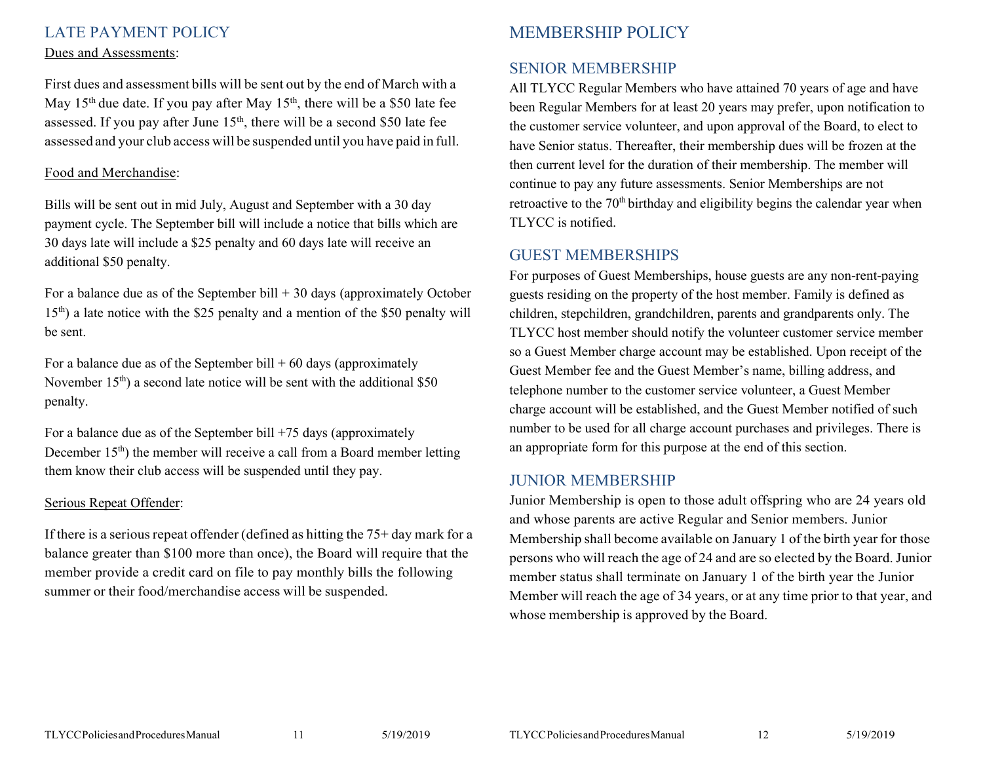### LATE PAYMENT POLICY

#### Dues and Assessments:

First dues and assessment bills will be sent out by the end of March with a May  $15<sup>th</sup>$  due date. If you pay after May  $15<sup>th</sup>$ , there will be a \$50 late fee assessed. If you pay after June  $15<sup>th</sup>$ , there will be a second \$50 late fee assessed and your club access will be suspended until you have paid in full.

#### Food and Merchandise:

Bills will be sent out in mid July, August and September with a 30 day payment cycle. The September bill will include a notice that bills which are 30 days late will include a \$25 penalty and 60 days late will receive an additional \$50 penalty.

For a balance due as of the September bill  $+30$  days (approximately October  $15<sup>th</sup>$ ) a late notice with the \$25 penalty and a mention of the \$50 penalty will be sent.

For a balance due as of the September bill  $+60$  days (approximately November 15<sup>th</sup>) a second late notice will be sent with the additional \$50 penalty.

For a balance due as of the September bill +75 days (approximately December 15<sup>th</sup>) the member will receive a call from a Board member letting them know their club access will be suspended until they pay.

#### Serious Repeat Offender:

If there is a serious repeat of fender (defined as hitting the  $75+$  day mark for a balance greater than \$100 more than once), the Board will require that the member provide a credit card on file to pay monthly bills the following summer or their food/merchandise access will be suspended.

# MEMBERSHIP POLICY

# SENIOR MEMBERSHIP

All TLYCC Regular Members who have attained 70 years of age and have been Regular Members for at least 20 years may prefer, upon notification to the customer service volunteer, and upon approval of the Board, to elect to have Senior status. Thereafter, their membership dues will be frozen at the then current level for the duration of their membership. The member will continue to pay any future assessments. Senior Memberships are not retroactive to the 70<sup>th</sup> birthday and eligibility begins the calendar year when TLYCC is notified.

### GUEST MEMBERSHIPS

For purposes of Guest Memberships, house guests are any non-rent-paying guests residing on the property of the host member. Family is defined as children, stepchildren, grandchildren, parents and grandparents only. The TLYCC host member should notify the volunteer customer service member so a Guest Member charge account may be established. Upon receipt of the Guest Member fee and the Guest Member's name, billing address, and telephone number to the customer service volunteer, a Guest Member charge account will be established, and the Guest Member notified of such number to be used for all charge account purchases and privileges. There is an appropriate form for this purpose at the end of this section.

### JUNIOR MEMBERSHIP

Junior Membership is open to those adult offspring who are 24 years old and whose parents are active Regular and Senior members. Junior Membership shall become available on January 1 of the birth year for those persons who will reach the age of 24 and are so elected by the Board. Junior member status shall terminate on January 1 of the birth year the Junior Member will reach the age of 34 years, or at any time prior to that year, and whose membership is approved by the Board.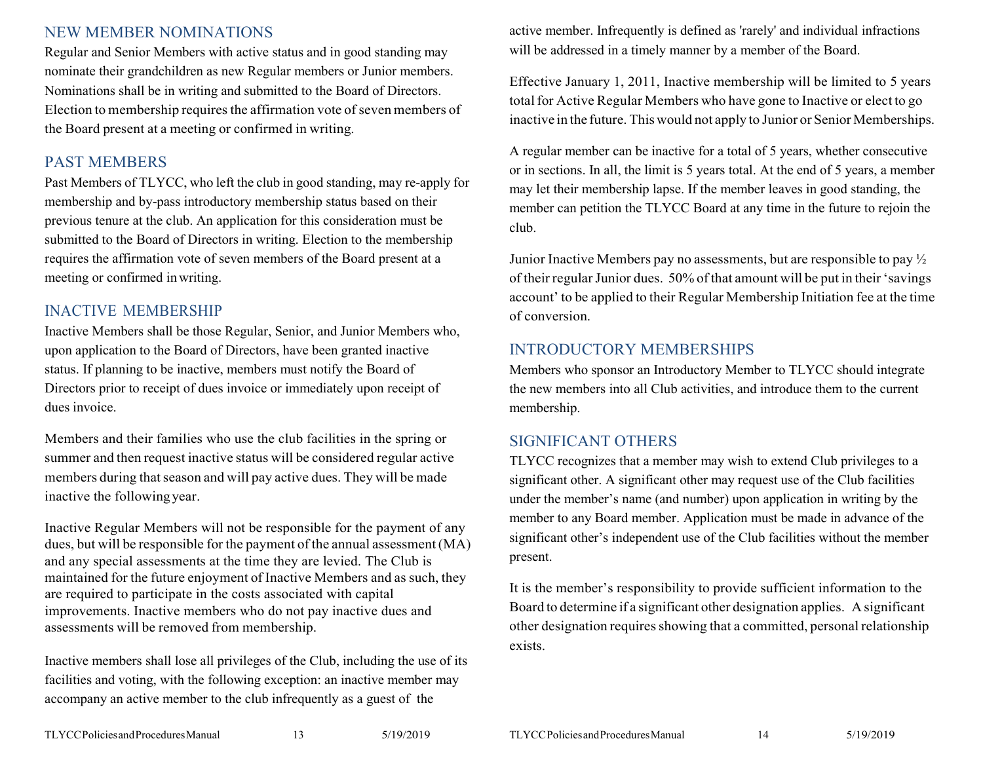# NEW MEMBER NOMINATIONS

Regular and Senior Members with active status and in good standing may nominate their grandchildren as new Regular members or Junior members. Nominations shall be in writing and submitted to the Board of Directors. Election to membership requires the affirmation vote of seven members of the Board present at a meeting or confirmed in writing.

### PAST MEMBERS

Past Members of TLYCC, who left the club in good standing, may re-apply for membership and by-pass introductory membership status based on their previous tenure at the club. An application for this consideration must be submitted to the Board of Directors in writing. Election to the membership requires the affirmation vote of seven members of the Board present at a meeting or confirmed inwriting.

# INACTIVE MEMBERSHIP

Inactive Members shall be those Regular, Senior, and Junior Members who, upon application to the Board of Directors, have been granted inactive status. If planning to be inactive, members must notify the Board of Directors prior to receipt of dues invoice or immediately upon receipt of dues invoice.

Members and their families who use the club facilities in the spring or summer and then request inactive status will be considered regular active members during that season and will pay active dues. They will be made inactive the followingyear.

Inactive Regular Members will not be responsible for the payment of any dues, but will be responsible for the payment of the annual assessment(MA) and any special assessments at the time they are levied. The Club is maintained for the future enjoyment of Inactive Members and as such, they are required to participate in the costs associated with capital improvements. Inactive members who do not pay inactive dues and assessments will be removed from membership.

Inactive members shall lose all privileges of the Club, including the use of its facilities and voting, with the following exception: an inactive member may accompany an active member to the club infrequently as a guest of the

active member. Infrequently is defined as 'rarely' and individual infractions will be addressed in a timely manner by a member of the Board.

Effective January 1, 2011, Inactive membership will be limited to 5 years total for Active Regular Members who have gone to Inactive or elect to go inactive in the future. This would not apply to Junior or Senior Memberships.

A regular member can be inactive for a total of 5 years, whether consecutive or in sections. In all, the limit is 5 years total. At the end of 5 years, a member may let their membership lapse. If the member leaves in good standing, the member can petition the TLYCC Board at any time in the future to rejoin the club.

Junior Inactive Members pay no assessments, but are responsible to pay ½ of their regular Junior dues. 50% of that amount will be put in their 'savings account' to be applied to their Regular Membership Initiation fee at the time of conversion.

### INTRODUCTORY MEMBERSHIPS

Members who sponsor an Introductory Member to TLYCC should integrate the new members into all Club activities, and introduce them to the current membership.

### SIGNIFICANT OTHERS

TLYCC recognizes that a member may wish to extend Club privileges to a significant other. A significant other may request use of the Club facilities under the member's name (and number) upon application in writing by the member to any Board member. Application must be made in advance of the significant other's independent use of the Club facilities without the member present.

It is the member's responsibility to provide sufficient information to the Board to determine if a significant other designation applies. A significant other designation requires showing that a committed, personal relationship exists.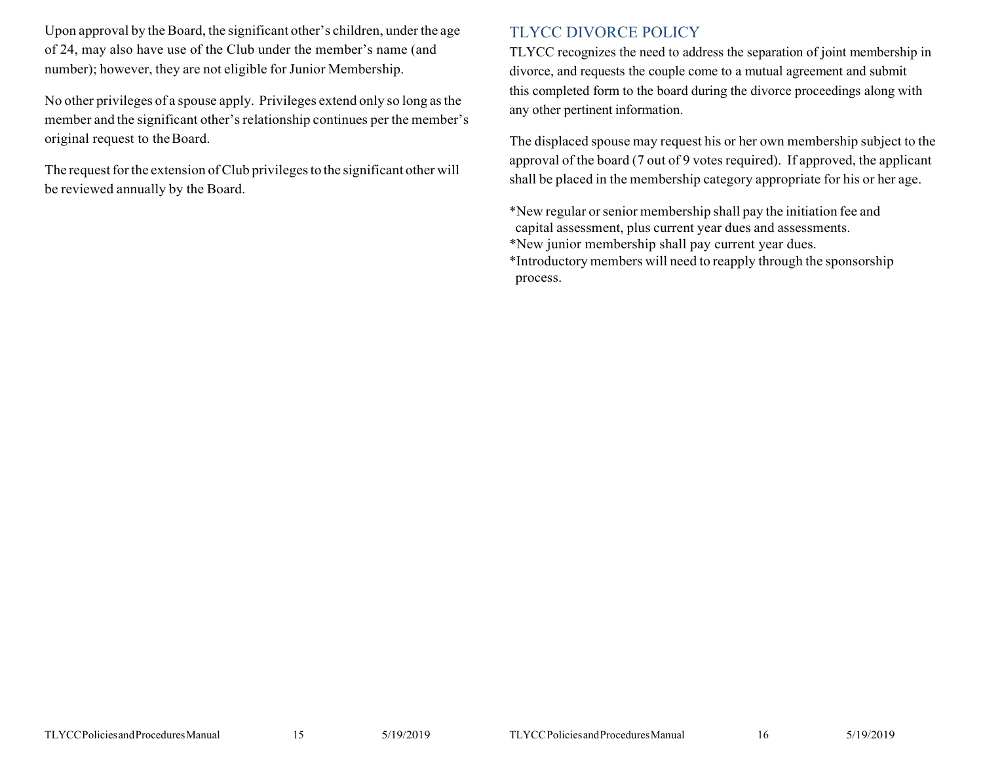Upon approval by the Board, the significant other's children, under the age of 24, may also have use of the Club under the member's name (and number); however, they are not eligible for Junior Membership.

No other privileges of a spouse apply. Privileges extend only so long asthe member and the significant other'srelationship continues per the member's original request to theBoard.

The request for the extension of Club privileges to the significant other will be reviewed annually by the Board.

# TLYCC DIVORCE POLICY

TLYCC recognizes the need to address the separation of joint membership in divorce, and requests the couple come to a mutual agreement and submit this completed form to the board during the divorce proceedings along with any other pertinent information.

The displaced spouse may request his or her own membership subject to the approval of the board (7 out of 9 votes required). If approved, the applicant shall be placed in the membership category appropriate for his or her age.

\*New regular orsenior membership shall pay the initiation fee and capital assessment, plus current year dues and assessments. \*New junior membership shall pay current year dues.

\*Introductory members will need to reapply through the sponsorship process.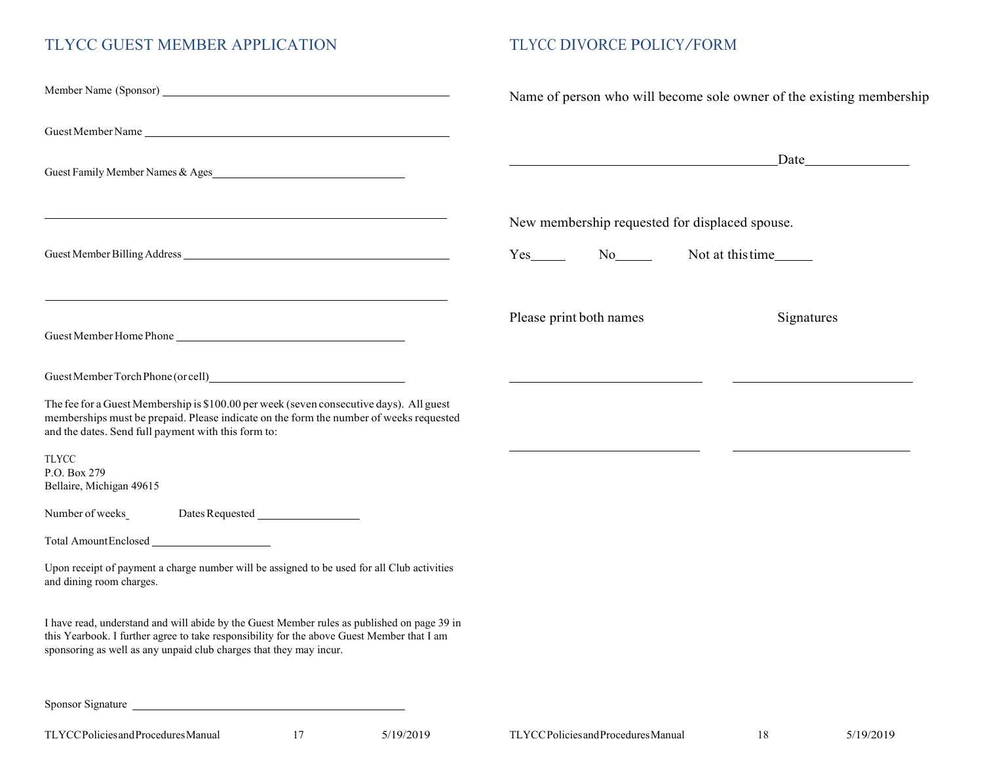# TLYCC GUEST MEMBER APPLICATION

# TLYCC DIVORCE POLICY/FORM

|                                                                                                                                                                                                                                                                 |                                                               |  | Name of person who will become sole owner of the existing membership |  |  |
|-----------------------------------------------------------------------------------------------------------------------------------------------------------------------------------------------------------------------------------------------------------------|---------------------------------------------------------------|--|----------------------------------------------------------------------|--|--|
| Guest Member Name                                                                                                                                                                                                                                               |                                                               |  |                                                                      |  |  |
| Guest Family Member Names & Ages                                                                                                                                                                                                                                | <u> 1989 - Johann Barn, fransk politik fotograf (d. 1989)</u> |  | $\Box$ Date                                                          |  |  |
|                                                                                                                                                                                                                                                                 | New membership requested for displaced spouse.                |  |                                                                      |  |  |
|                                                                                                                                                                                                                                                                 | $Yes_$ No $\qquad$                                            |  |                                                                      |  |  |
| and the control of the control of the control of the control of the control of the control of the control of the<br>Guest Member Home Phone                                                                                                                     | Please print both names                                       |  | Signatures                                                           |  |  |
|                                                                                                                                                                                                                                                                 |                                                               |  |                                                                      |  |  |
| The fee for a Guest Membership is \$100.00 per week (seven consecutive days). All guest<br>memberships must be prepaid. Please indicate on the form the number of weeks requested<br>and the dates. Send full payment with this form to:                        |                                                               |  |                                                                      |  |  |
| TLYCC<br>P.O. Box 279<br>Bellaire, Michigan 49615                                                                                                                                                                                                               |                                                               |  |                                                                      |  |  |
| Dates Requested ___________________<br>Number of weeks                                                                                                                                                                                                          |                                                               |  |                                                                      |  |  |
| Total AmountEnclosed                                                                                                                                                                                                                                            |                                                               |  |                                                                      |  |  |
| Upon receipt of payment a charge number will be assigned to be used for all Club activities<br>and dining room charges.                                                                                                                                         |                                                               |  |                                                                      |  |  |
| I have read, understand and will abide by the Guest Member rules as published on page 39 in<br>this Yearbook. I further agree to take responsibility for the above Guest Member that I am<br>sponsoring as well as any unpaid club charges that they may incur. |                                                               |  |                                                                      |  |  |
| Sponsor Signature                                                                                                                                                                                                                                               |                                                               |  |                                                                      |  |  |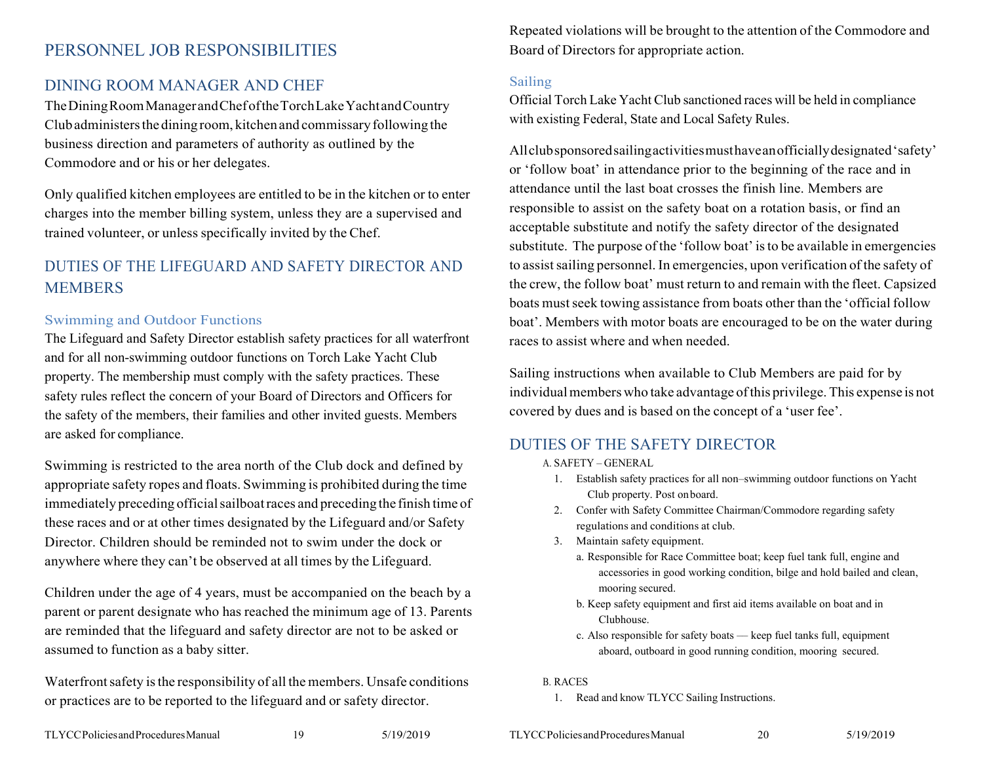# PERSONNEL JOB RESPONSIBILITIES

# DINING ROOM MANAGER AND CHEF

TheDiningRoomManagerandChefoftheTorchLakeYachtandCountry Clubadministersthe diningroom, kitchenand commissaryfollowing the business direction and parameters of authority as outlined by the Commodore and or his or her delegates.

Only qualified kitchen employees are entitled to be in the kitchen or to enter charges into the member billing system, unless they are a supervised and trained volunteer, or unless specifically invited by the Chef.

# DUTIES OF THE LIFEGUARD AND SAFETY DIRECTOR AND MEMBERS

#### Swimming and Outdoor Functions

The Lifeguard and Safety Director establish safety practices for all waterfront and for all non-swimming outdoor functions on Torch Lake Yacht Club property. The membership must comply with the safety practices. These safety rules reflect the concern of your Board of Directors and Officers for the safety of the members, their families and other invited guests. Members are asked for compliance.

Swimming is restricted to the area north of the Club dock and defined by appropriate safety ropes and floats. Swimming is prohibited during the time immediately preceding officialsailboatraces and preceding the finish time of these races and or at other times designated by the Lifeguard and/or Safety Director. Children should be reminded not to swim under the dock or anywhere where they can't be observed at all times by the Lifeguard.

Children under the age of 4 years, must be accompanied on the beach by a parent or parent designate who has reached the minimum age of 13. Parents are reminded that the lifeguard and safety director are not to be asked or assumed to function as a baby sitter.

Waterfront safety is the responsibility of all the members. Unsafe conditions or practices are to be reported to the lifeguard and or safety director.

Repeated violations will be brought to the attention of the Commodore and Board of Directors for appropriate action.

#### Sailing

Official Torch Lake Yacht Club sanctioned races will be held in compliance with existing Federal, State and Local Safety Rules.

Allclubsponsoredsailingactivitiesmusthaveanofficiallydesignated'safety' or 'follow boat' in attendance prior to the beginning of the race and in attendance until the last boat crosses the finish line. Members are responsible to assist on the safety boat on a rotation basis, or find an acceptable substitute and notify the safety director of the designated substitute. The purpose of the 'follow boat' isto be available in emergencies to assistsailing personnel. In emergencies, upon verification of the safety of the crew, the follow boat' must return to and remain with the fleet. Capsized boats must seek towing assistance from boats other than the 'official follow boat'. Members with motor boats are encouraged to be on the water during races to assist where and when needed.

Sailing instructions when available to Club Members are paid for by individual members who take advantage of this privilege. This expense is not covered by dues and is based on the concept of a 'user fee'.

### <span id="page-9-0"></span>DUTIES OF THE SAFETY DIRECTOR

A. SAFETY – GENERAL

- 1. Establish safety practices for all non–swimming outdoor functions on Yacht Club property. Post onboard.
- 2. Confer with Safety Committee Chairman/Commodore regarding safety regulations and conditions at club.
- 3. Maintain safety equipment.
	- a. Responsible for Race Committee boat; keep fuel tank full, engine and accessories in good working condition, bilge and hold bailed and clean, mooring secured.
	- b. Keep safety equipment and first aid items available on boat and in Clubhouse.
	- c. Also responsible for safety boats –– keep fuel tanks full, equipment aboard, outboard in good running condition, mooring secured.

#### B. RACES

1. Read and know TLYCC Sailing Instructions.

TLYCCPoliciesandProceduresManual 19 5/19/2019 TLYCCPoliciesandProceduresManual 20 5/19/2019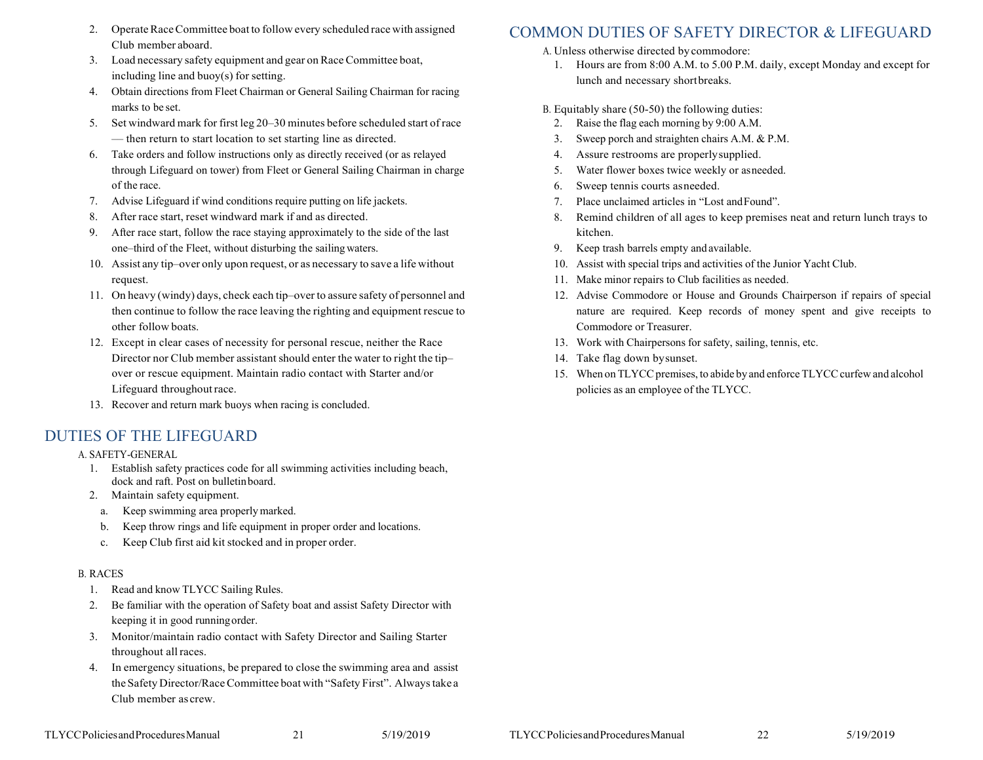- 2. Operate Race Committee boat to follow every scheduled race with assigned Club member aboard.
- 3. Load necessary safety equipment and gear on RaceCommittee boat, including line and buoy(s) for setting.
- 4. Obtain directions from Fleet Chairman or General Sailing Chairman for racing marks to be set.
- 5. Set windward mark for first leg 20–30 minutes before scheduled start of race –– then return to start location to set starting line as directed.
- 6. Take orders and follow instructions only as directly received (or as relayed through Lifeguard on tower) from Fleet or General Sailing Chairman in charge of the race.
- 7. Advise Lifeguard if wind conditions require putting on life jackets.
- After race start, reset windward mark if and as directed.
- After race start, follow the race staying approximately to the side of the last one–third of the Fleet, without disturbing the sailingwaters.
- 10. Assist any tip–over only upon request, or as necessary to save a life without request.
- 11. On heavy (windy) days, check each tip–over to assure safety of personnel and then continue to follow the race leaving the righting and equipment rescue to other follow boats.
- 12. Except in clear cases of necessity for personal rescue, neither the Race Director nor Club member assistant should enter the water to right the tip– over or rescue equipment. Maintain radio contact with Starter and/or Lifeguard throughoutrace.
- 13. Recover and return mark buoys when racing is concluded.

#### <span id="page-10-0"></span>DUTIES OF THE LIFEGUARD

A. SAFETY-GENERAL

- 1. Establish safety practices code for all swimming activities including beach, dock and raft. Post on bulletinboard.
- 2. Maintain safety equipment.
- a. Keep swimming area properlymarked.
- b. Keep throw rings and life equipment in proper order and locations.
- c. Keep Club first aid kit stocked and in proper order.

#### B. RACES

- 1. Read and know TLYCC Sailing Rules.
- 2. Be familiar with the operation of Safety boat and assist Safety Director with keeping it in good runningorder.
- 3. Monitor/maintain radio contact with Safety Director and Sailing Starter throughout allraces.
- <span id="page-10-1"></span>4. In emergency situations, be prepared to close the swimming area and assist the Safety Director/Race Committee boat with "Safety First". Always take a Club member as crew.

# COMMON DUTIES OF SAFETY DIRECTOR & LIFEGUARD

- A. Unless otherwise directed bycommodore:
	- 1. Hours are from 8:00 A.M. to 5.00 P.M. daily, except Monday and except for lunch and necessary shortbreaks.
- B. Equitably share (50-50) the following duties:
	- 2. Raise the flag each morning by 9:00 A.M.
	- 3. Sweep porch and straighten chairs A.M. & P.M.
- 4. Assure restrooms are properlysupplied.
- 5. Water flower boxes twice weekly or asneeded.
- 6. Sweep tennis courts asneeded.
- 7. Place unclaimed articles in "Lost andFound".
- 8. Remind children of all ages to keep premises neat and return lunch trays to kitchen.
- 9. Keep trash barrels empty and available.
- 10. Assist with special trips and activities of the Junior Yacht Club.
- 11. Make minor repairs to Club facilities as needed.
- 12. Advise Commodore or House and Grounds Chairperson if repairs of special nature are required. Keep records of money spent and give receipts to Commodore or Treasurer.
- 13. Work with Chairpersons for safety, sailing, tennis, etc.
- 14. Take flag down bysunset.
- 15. When on TLYCC premises, to abide by and enforce TLYCC curfew and alcohol policies as an employee of the TLYCC.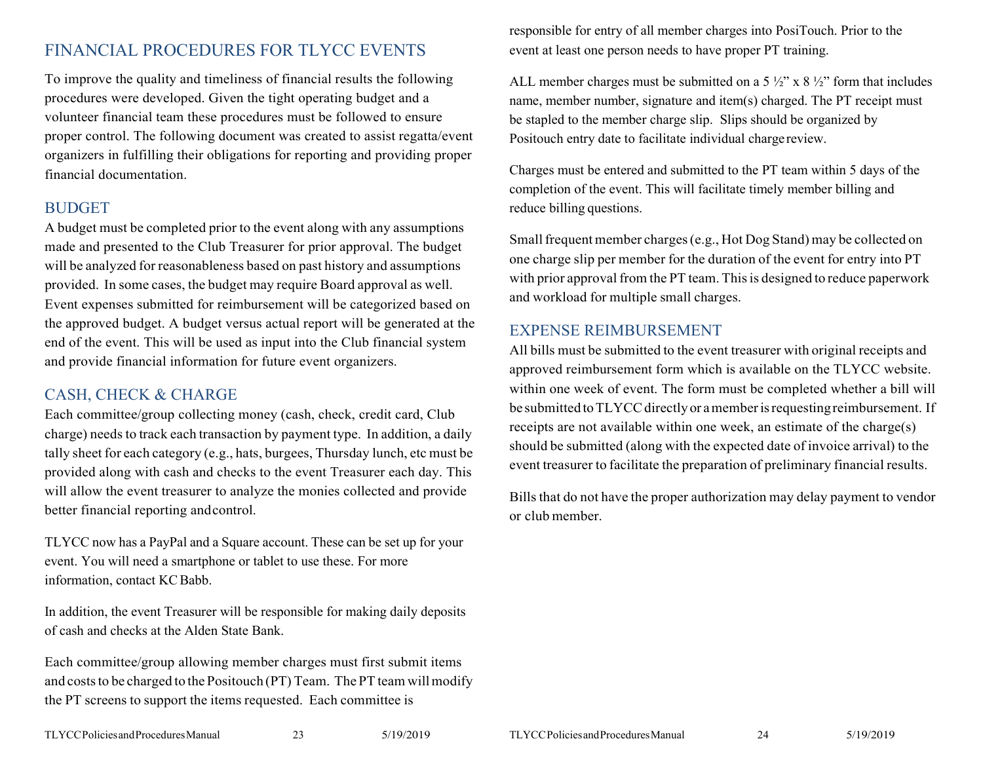# <span id="page-11-0"></span>FINANCIAL PROCEDURES FOR TLYCC EVENTS

To improve the quality and timeliness of financial results the following procedures were developed. Given the tight operating budget and a volunteer financial team these procedures must be followed to ensure proper control. The following document was created to assist regatta/event organizers in fulfilling their obligations for reporting and providing proper financial documentation.

### <span id="page-11-1"></span>**BUDGET**

A budget must be completed prior to the event along with any assumptions made and presented to the Club Treasurer for prior approval. The budget will be analyzed for reasonableness based on past history and assumptions provided. In some cases, the budget may require Board approval as well. Event expenses submitted for reimbursement will be categorized based on the approved budget. A budget versus actual report will be generated at the end of the event. This will be used as input into the Club financial system and provide financial information for future event organizers.

# <span id="page-11-2"></span>CASH, CHECK & CHARGE

Each committee/group collecting money (cash, check, credit card, Club charge) needs to track each transaction by payment type. In addition, a daily tally sheet for each category (e.g., hats, burgees, Thursday lunch, etc must be provided along with cash and checks to the event Treasurer each day. This will allow the event treasurer to analyze the monies collected and provide better financial reporting andcontrol.

TLYCC now has a PayPal and a Square account. These can be set up for your event. You will need a smartphone or tablet to use these. For more information, contact KC Babb.

In addition, the event Treasurer will be responsible for making daily deposits of cash and checks at the Alden State Bank.

Each committee/group allowing member charges must first submit items and costs to be charged to the Positouch (PT) Team. The PT team will modify the PT screens to support the items requested. Each committee is

responsible for entry of all member charges into PosiTouch. Prior to the event at least one person needs to have proper PT training.

ALL member charges must be submitted on a  $5\frac{1}{2}$ " x  $8\frac{1}{2}$ " form that includes name, member number, signature and item(s) charged. The PT receipt must be stapled to the member charge slip. Slips should be organized by Positouch entry date to facilitate individual chargereview.

Charges must be entered and submitted to the PT team within 5 days of the completion of the event. This will facilitate timely member billing and reduce billing questions.

Small frequent member charges (e.g., Hot Dog Stand) may be collected on one charge slip per member for the duration of the event for entry into PT with prior approval from the PT team. This is designed to reduce paperwork and workload for multiple small charges.

### <span id="page-11-3"></span>EXPENSE REIMBURSEMENT

All bills must be submitted to the event treasurer with original receipts and approved reimbursement form which is available on the TLYCC website. within one week of event. The form must be completed whether a bill will be submitted to TLYCC directly or a member is requesting reimbursement. If receipts are not available within one week, an estimate of the charge(s) should be submitted (along with the expected date of invoice arrival) to the event treasurer to facilitate the preparation of preliminary financial results.

Bills that do not have the proper authorization may delay payment to vendor or club member.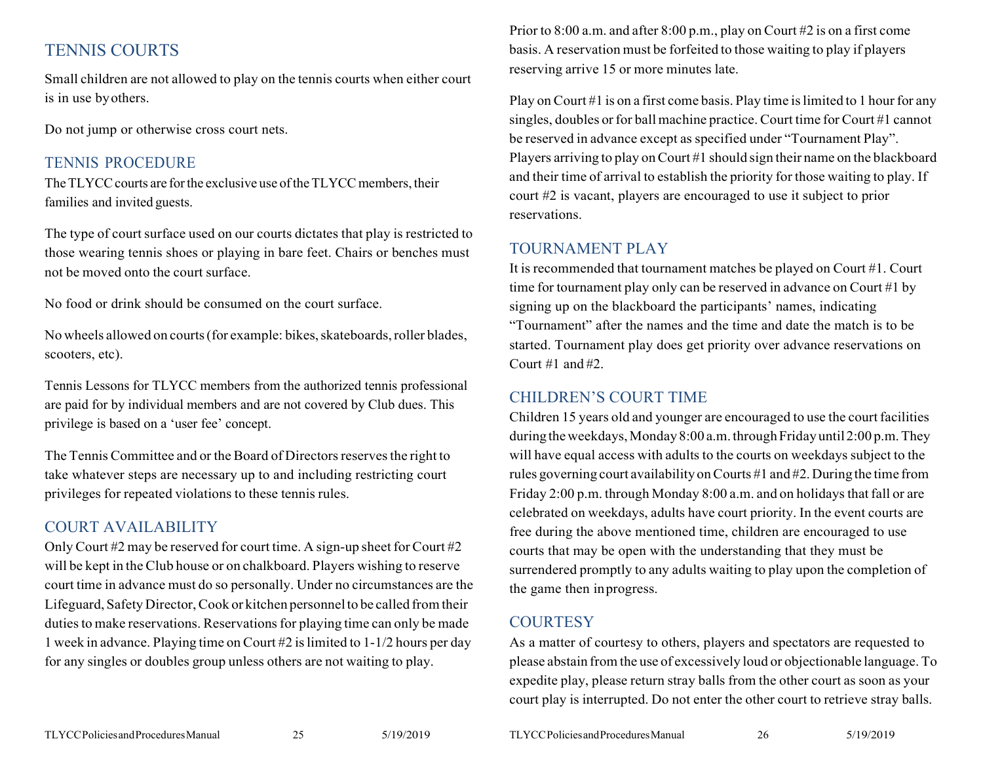# <span id="page-12-0"></span>TENNIS COURTS

Small children are not allowed to play on the tennis courts when either court is in use byothers.

Do not jump or otherwise cross court nets.

# <span id="page-12-1"></span>TENNIS PROCEDURE

The TLYCC courts are for the exclusive use of the TLYCC members, their families and invited guests.

The type of court surface used on our courts dictates that play is restricted to those wearing tennis shoes or playing in bare feet. Chairs or benches must not be moved onto the court surface.

No food or drink should be consumed on the court surface.

No wheels allowed on courts (for example: bikes, skateboards, roller blades, scooters, etc).

Tennis Lessons for TLYCC members from the authorized tennis professional are paid for by individual members and are not covered by Club dues. This privilege is based on a 'user fee' concept.

The Tennis Committee and or the Board of Directors reserves the right to take whatever steps are necessary up to and including restricting court privileges for repeated violations to these tennis rules.

# <span id="page-12-2"></span>COURT AVAILABILITY

Only Court #2 may be reserved for court time. A sign-up sheet for Court #2 will be kept in the Club house or on chalkboard. Players wishing to reserve court time in advance must do so personally. Under no circumstances are the Lifeguard, Safety Director,Cook or kitchen personnelto be called fromtheir duties to make reservations. Reservations for playing time can only be made 1 week in advance. Playing time on Court #2 islimited to 1-1/2 hours per day for any singles or doubles group unless others are not waiting to play.

Prior to 8:00 a.m. and after 8:00 p.m., play on Court #2 is on a first come basis. A reservation must be forfeited to those waiting to play if players reserving arrive 15 or more minutes late.

Play on Court #1 is on a first come basis. Play time is limited to 1 hour for any singles, doubles or for ball machine practice. Court time for Court #1 cannot be reserved in advance except as specified under "Tournament Play". Players arriving to play on Court #1 should sign their name on the blackboard and their time of arrival to establish the priority for those waiting to play. If court #2 is vacant, players are encouraged to use it subject to prior reservations.

# <span id="page-12-3"></span>TOURNAMENT PLAY

It is recommended that tournament matches be played on Court #1. Court time for tournament play only can be reserved in advance on Court #1 by signing up on the blackboard the participants' names, indicating "Tournament" after the names and the time and date the match is to be started. Tournament play does get priority over advance reservations on Court #1 and #2.

# <span id="page-12-4"></span>CHILDREN'S COURT TIME

Children 15 years old and younger are encouraged to use the courtfacilities during the weekdays, Monday 8:00 a.m. through Friday until 2:00 p.m. They will have equal access with adults to the courts on weekdays subject to the rules governing court availability onCourts #1 and #2.During the time from Friday 2:00 p.m. through Monday 8:00 a.m. and on holidays that fall or are celebrated on weekdays, adults have court priority. In the event courts are free during the above mentioned time, children are encouraged to use courts that may be open with the understanding that they must be surrendered promptly to any adults waiting to play upon the completion of the game then inprogress.

# <span id="page-12-5"></span>**COURTESY**

As a matter of courtesy to others, players and spectators are requested to please abstain from the use of excessively loud or objectionable language. To expedite play, please return stray balls from the other court as soon as your court play is interrupted. Do not enter the other court to retrieve stray balls.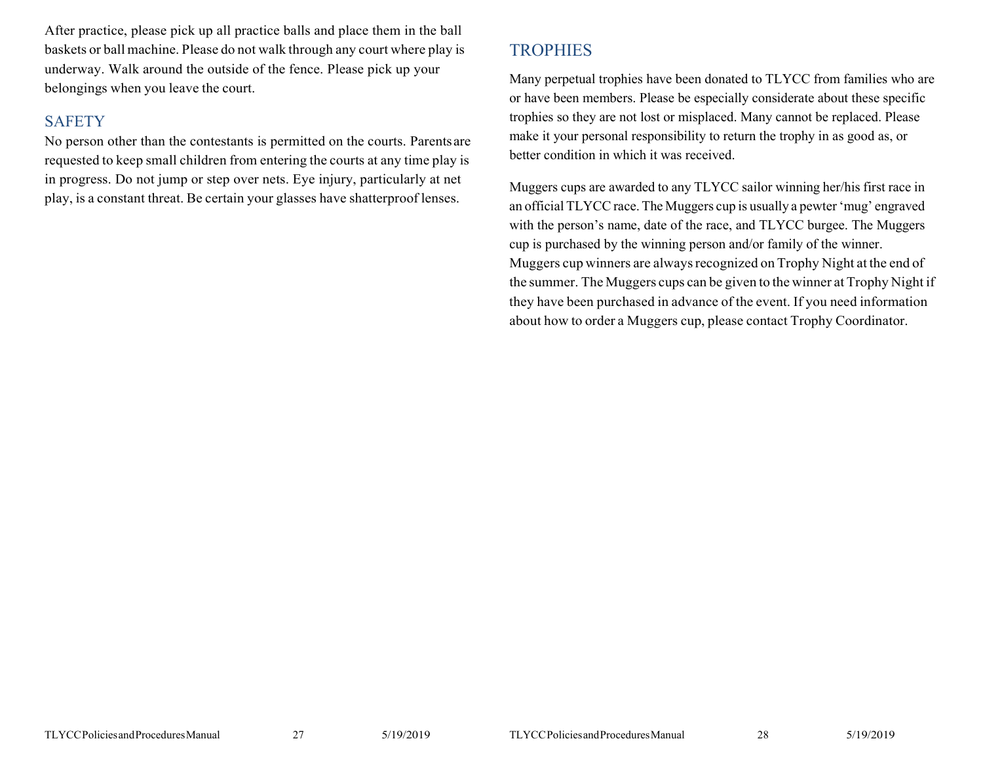After practice, please pick up all practice balls and place them in the ball baskets or ball machine. Please do not walk through any court where play is underway. Walk around the outside of the fence. Please pick up your belongings when you leave the court.

### <span id="page-13-0"></span>**SAFETY**

No person other than the contestants is permitted on the courts. Parentsare requested to keep small children from entering the courts at any time play is in progress. Do not jump or step over nets. Eye injury, particularly at net play, is a constant threat. Be certain your glasses have shatterproof lenses.

# <span id="page-13-1"></span>**TROPHIES**

Many perpetual trophies have been donated to TLYCC from families who are or have been members. Please be especially considerate about these specific trophies so they are not lost or misplaced. Many cannot be replaced. Please make it your personal responsibility to return the trophy in as good as, or better condition in which it was received.

Muggers cups are awarded to any TLYCC sailor winning her/his first race in an official TLYCC race.The Muggers cup is usually a pewter'mug' engraved with the person's name, date of the race, and TLYCC burgee. The Muggers cup is purchased by the winning person and/or family of the winner. Muggers cup winners are always recognized on Trophy Night at the end of the summer. The Muggers cups can be given to the winner at Trophy Night if they have been purchased in advance of the event. If you need information about how to order a Muggers cup, please contact Trophy Coordinator.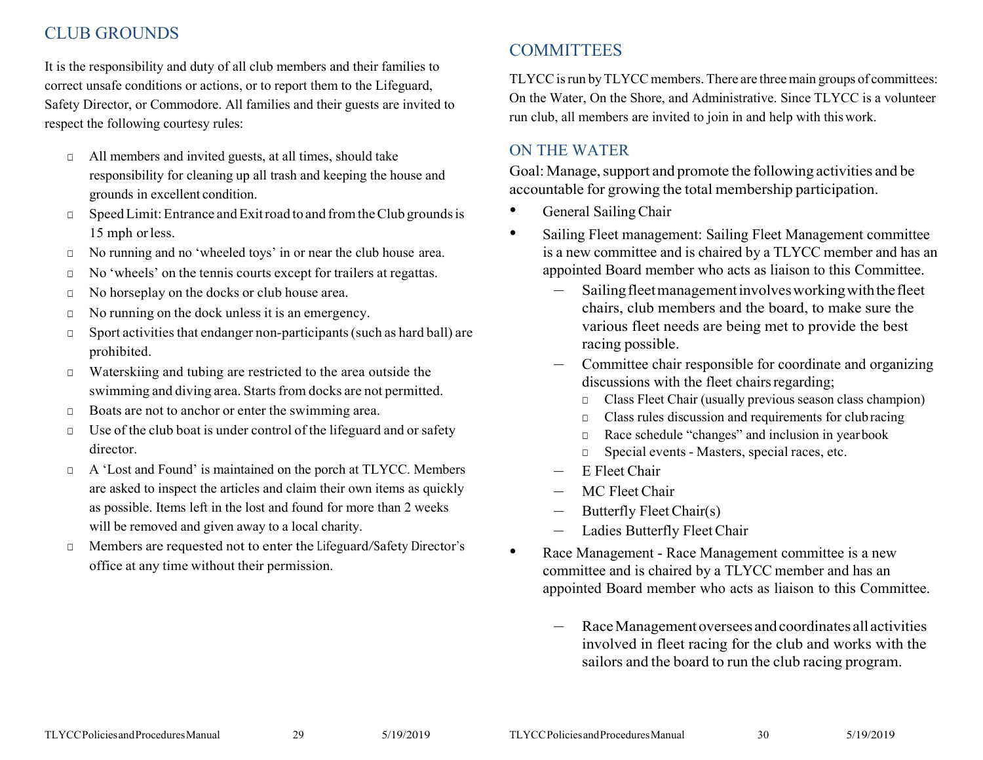# CLUB GROUNDS

It is the responsibility and duty of all club members and their families to correct unsafe conditions or actions, or to report them to the Lifeguard, Safety Director, or Commodore. All families and their guests are invited to respect the following courtesy rules:

- □ All members and invited guests, at all times, should take responsibility for cleaning up all trash and keeping the house and grounds in excellent condition.
- □ Speed Limit: Entrance and Exitroad to and from the Club grounds is 15 mph orless.
- □ No running and no 'wheeled toys' in or near the club house area.
- □ No 'wheels' on the tennis courts except for trailers at regattas.
- □ No horseplay on the docks or club house area.
- □ No running on the dock unless it is an emergency.
- $\Box$  Sport activities that endanger non-participants (such as hard ball) are prohibited.
- □ Waterskiing and tubing are restricted to the area outside the swimming and diving area. Starts from docks are not permitted.
- □ Boats are not to anchor or enter the swimming area.
- $\Box$  Use of the club boat is under control of the lifeguard and or safety director.
- □ A 'Lost and Found' is maintained on the porch at TLYCC. Members are asked to inspect the articles and claim their own items as quickly as possible. Items left in the lost and found for more than 2 weeks will be removed and given away to a local charity.
- □ Members are requested not to enter the Lifeguard/Safety Director's office at any time without their permission.

# <span id="page-14-0"></span>**COMMITTEES**

TLYCC is run by TLYCC members. There are three main groups of committees: On the Water, On the Shore, and Administrative. Since TLYCC is a volunteer run club, all members are invited to join in and help with thiswork.

### <span id="page-14-1"></span>ON THE WATER

Goal: Manage, support and promote the following activities and be accountable for growing the total membership participation.

- General Sailing Chair
- Sailing Fleet management: Sailing Fleet Management committee is a new committee and is chaired by a TLYCC member and has an appointed Board member who acts as liaison to this Committee.
	- Sailingfleetmanagementinvolvesworkingwiththefleet chairs, club members and the board, to make sure the various fleet needs are being met to provide the best racing possible.
	- Committee chair responsible for coordinate and organizing discussions with the fleet chairs regarding;
		- □ Class Fleet Chair (usually previous season class champion)
		- □ Class rules discussion and requirements for club racing
		- □ Race schedule "changes" and inclusion in yearbook
		- □ Special events Masters, special races, etc.
	- E Fleet Chair
	- MC Fleet Chair
	- Butterfly Fleet Chair(s)
	- Ladies Butterfly FleetChair
- Race Management Race Management committee is a new committee and is chaired by a TLYCC member and has an appointed Board member who acts as liaison to this Committee.
	- RaceManagementoversees andcoordinates all activities involved in fleet racing for the club and works with the sailors and the board to run the club racing program.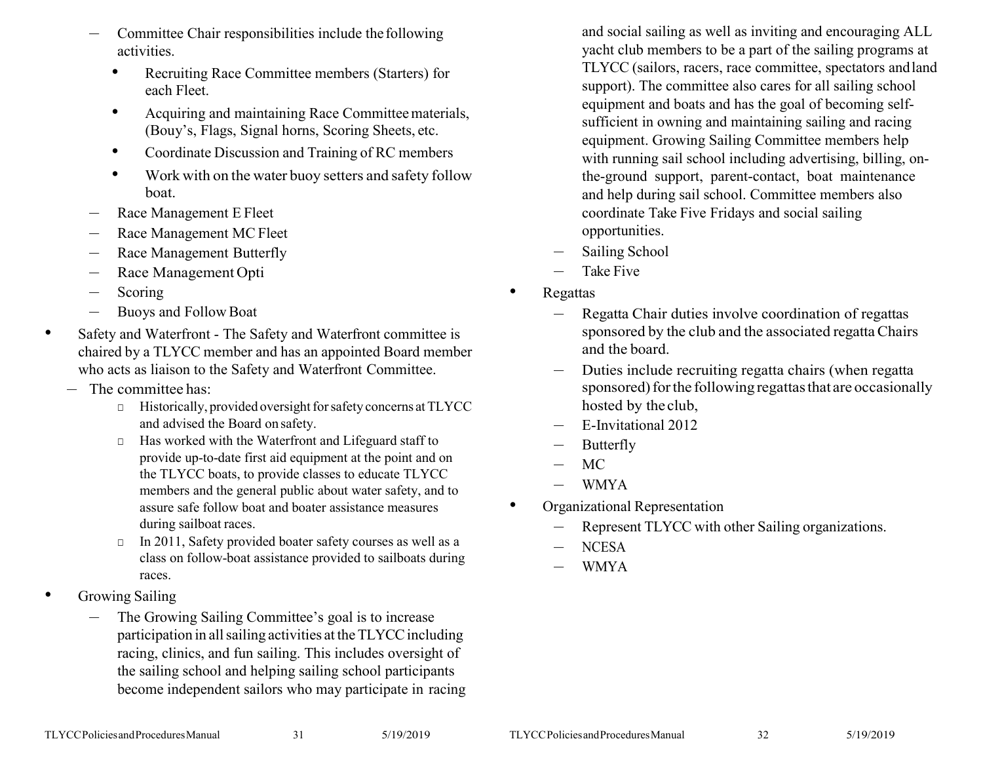- Committee Chair responsibilities include the following activities.
	- Recruiting Race Committee members (Starters) for each Fleet.
	- Acquiring and maintaining Race Committee materials, (Bouy's, Flags, Signal horns, Scoring Sheets, etc.
	- Coordinate Discussion and Training of RC members
	- Work with on the water buoy setters and safety follow boat.
- Race Management E Fleet
- Race Management MC Fleet
- Race Management Butterfly
- Race Management Opti
- **Scoring**
- Buoys and Follow Boat
- Safety and Waterfront The Safety and Waterfront committee is chaired by a TLYCC member and has an appointed Board member who acts as liaison to the Safety and Waterfront Committee.
	- The committee has:
		- □ Historically, provided oversight for safety concerns at TLYCC and advised the Board on safety.
		- □ Has worked with the Waterfront and Lifeguard staff to provide up-to-date first aid equipment at the point and on the TLYCC boats, to provide classes to educate TLYCC members and the general public about water safety, and to assure safe follow boat and boater assistance measures during sailboat races.
		- □ In 2011, Safety provided boater safety courses as well as a class on follow-boat assistance provided to sailboats during races.
- Growing Sailing
	- The Growing Sailing Committee's goal is to increase participation in all sailing activities at the TLYCC including racing, clinics, and fun sailing. This includes oversight of the sailing school and helping sailing school participants become independent sailors who may participate in racing

and social sailing as well as inviting and encouraging ALL yacht club members to be a part of the sailing programs at TLYCC (sailors, racers, race committee, spectators andland support). The committee also cares for all sailing school equipment and boats and has the goal of becoming selfsufficient in owning and maintaining sailing and racing equipment. Growing Sailing Committee members help with running sail school including advertising, billing, onthe-ground support, parent-contact, boat maintenance and help during sail school. Committee members also coordinate Take Five Fridays and social sailing opportunities.

- Sailing School
- Take Five
- Regattas
	- Regatta Chair duties involve coordination of regattas sponsored by the club and the associated regatta Chairs and the board.
	- Duties include recruiting regatta chairs (when regatta sponsored) for the following regattas that are occasionally hosted by the club,
	- E-Invitational 2012
	- **Butterfly**
	- MC
	- WMYA
	- Organizational Representation
		- Represent TLYCC with other Sailing organizations.
		- NCESA
		- WMYA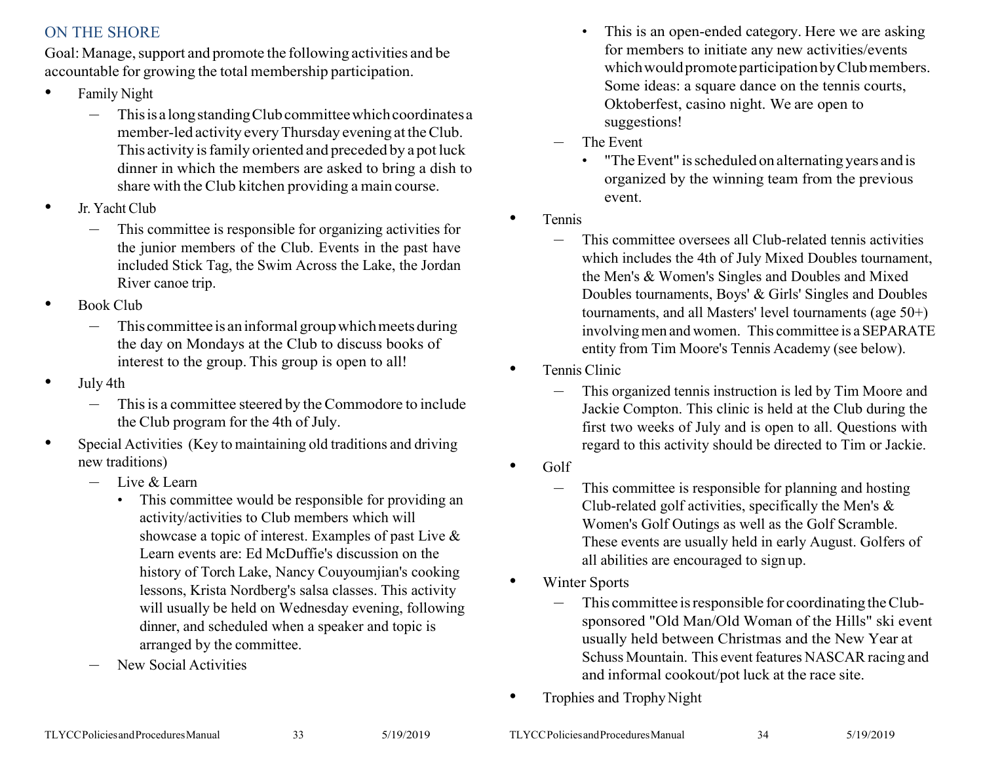# <span id="page-16-0"></span>ON THE SHORE

Goal: Manage, support and promote the following activities and be accountable for growing the total membership participation.

- Family Night
	- This is a long standing Club committee which coordinates a member-led activity everyThursday evening at theClub. This activity is family oriented and preceded by a pot luck dinner in which the members are asked to bring a dish to share with the Club kitchen providing a main course.
- Jr. Yacht Club
	- This committee is responsible for organizing activities for the junior members of the Club. Events in the past have included Stick Tag, the Swim Across the Lake, the Jordan River canoe trip.
- Book Club
	- This committee is an informal group which meets during the day on Mondays at the Club to discuss books of interest to the group. This group is open to all!
- July 4th
	- This is a committee steered by the Commodore to include the Club program for the 4th of July.
- Special Activities (Key to maintaining old traditions and driving new traditions)
	- Live & Learn
		- This committee would be responsible for providing an activity/activities to Club members which will showcase a topic of interest. Examples of past Live & Learn events are: Ed McDuffie's discussion on the history of Torch Lake, Nancy Couyoumjian's cooking lessons, Krista Nordberg's salsa classes. This activity will usually be held on Wednesday evening, following dinner, and scheduled when a speaker and topic is arranged by the committee.
	- New Social Activities
- This is an open-ended category. Here we are asking for members to initiate any new activities/events which would promote participation by Club members. Some ideas: a square dance on the tennis courts, Oktoberfest, casino night. We are open to suggestions!
- The Event
	- "The Event" is scheduled on alternating years and is organized by the winning team from the previous event.
- Tennis
	- This committee oversees all Club-related tennis activities which includes the 4th of July Mixed Doubles tournament, the Men's & Women's Singles and Doubles and Mixed Doubles tournaments, Boys' & Girls' Singles and Doubles tournaments, and all Masters' level tournaments (age 50+) involvingmen and women. This committee is a SEPARATE entity from Tim Moore's Tennis Academy (see below).
- Tennis Clinic
	- This organized tennis instruction is led by Tim Moore and Jackie Compton. This clinic is held at the Club during the first two weeks of July and is open to all. Questions with regard to this activity should be directed to Tim or Jackie.
- Golf
	- This committee is responsible for planning and hosting Club-related golf activities, specifically the Men's & Women's Golf Outings as well as the Golf Scramble. These events are usually held in early August. Golfers of all abilities are encouraged to signup.
- **Winter Sports** 
	- This committee isresponsible for coordinating theClubsponsored "Old Man/Old Woman of the Hills" ski event usually held between Christmas and the New Year at Schuss Mountain. This event features NASCAR racing and and informal cookout/pot luck at the race site.
- Trophies and TrophyNight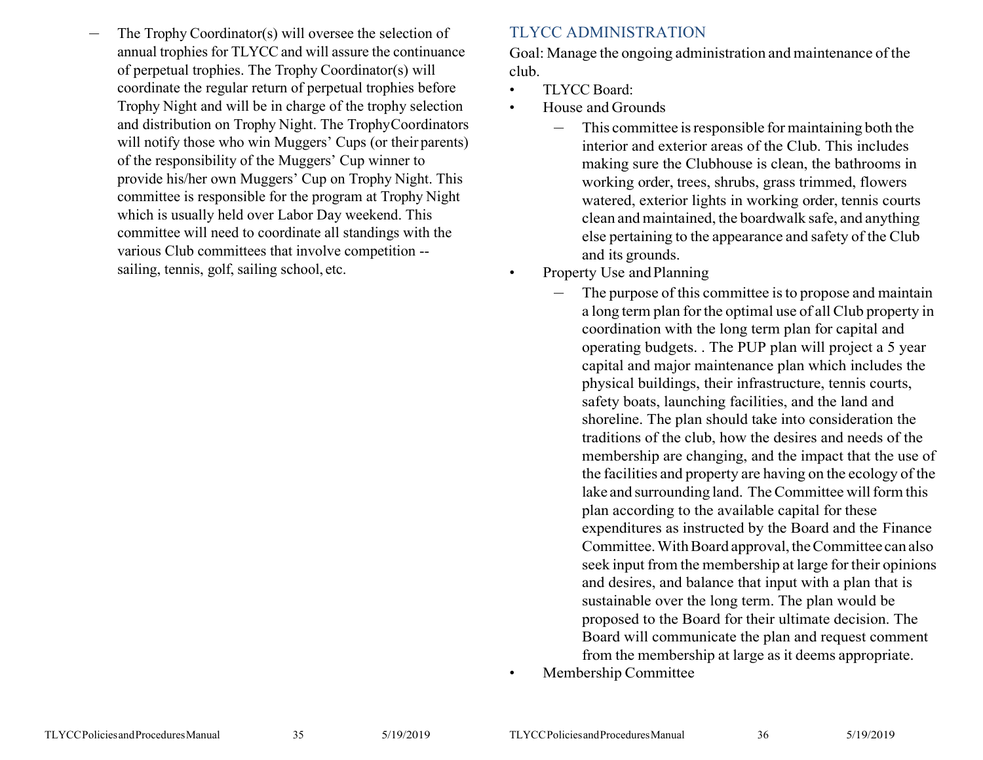<span id="page-17-0"></span>– The Trophy Coordinator(s) will oversee the selection of annual trophies for TLYCC and will assure the continuance of perpetual trophies. The Trophy Coordinator(s) will coordinate the regular return of perpetual trophies before Trophy Night and will be in charge of the trophy selection and distribution on Trophy Night. The TrophyCoordinators will notify those who win Muggers' Cups (or their parents) of the responsibility of the Muggers' Cup winner to provide his/her own Muggers' Cup on Trophy Night. This committee is responsible for the program at Trophy Night which is usually held over Labor Day weekend. This committee will need to coordinate all standings with the various Club committees that involve competition - sailing, tennis, golf, sailing school, etc.

# TLYCC ADMINISTRATION

Goal: Manage the ongoing administration and maintenance of the club.

- TLYCC Board:
- House and Grounds
	- $-$  This committee is responsible for maintaining both the interior and exterior areas of the Club. This includes making sure the Clubhouse is clean, the bathrooms in working order, trees, shrubs, grass trimmed, flowers watered, exterior lights in working order, tennis courts clean and maintained, the boardwalk safe, and anything else pertaining to the appearance and safety of the Club and its grounds.
- Property Use and Planning
	- The purpose of this committee is to propose and maintain a long term plan forthe optimal use of all Club property in coordination with the long term plan for capital and operating budgets. . The PUP plan will project a 5 year capital and major maintenance plan which includes the physical buildings, their infrastructure, tennis courts, safety boats, launching facilities, and the land and shoreline. The plan should take into consideration the traditions of the club, how the desires and needs of the membership are changing, and the impact that the use of the facilities and property are having on the ecology of the lake and surrounding land. The Committee will form this plan according to the available capital for these expenditures as instructed by the Board and the Finance Committee. With Board approval, the Committee can also seek input from the membership at large for their opinions and desires, and balance that input with a plan that is sustainable over the long term. The plan would be proposed to the Board for their ultimate decision. The Board will communicate the plan and request comment from the membership at large as it deems appropriate.
- Membership Committee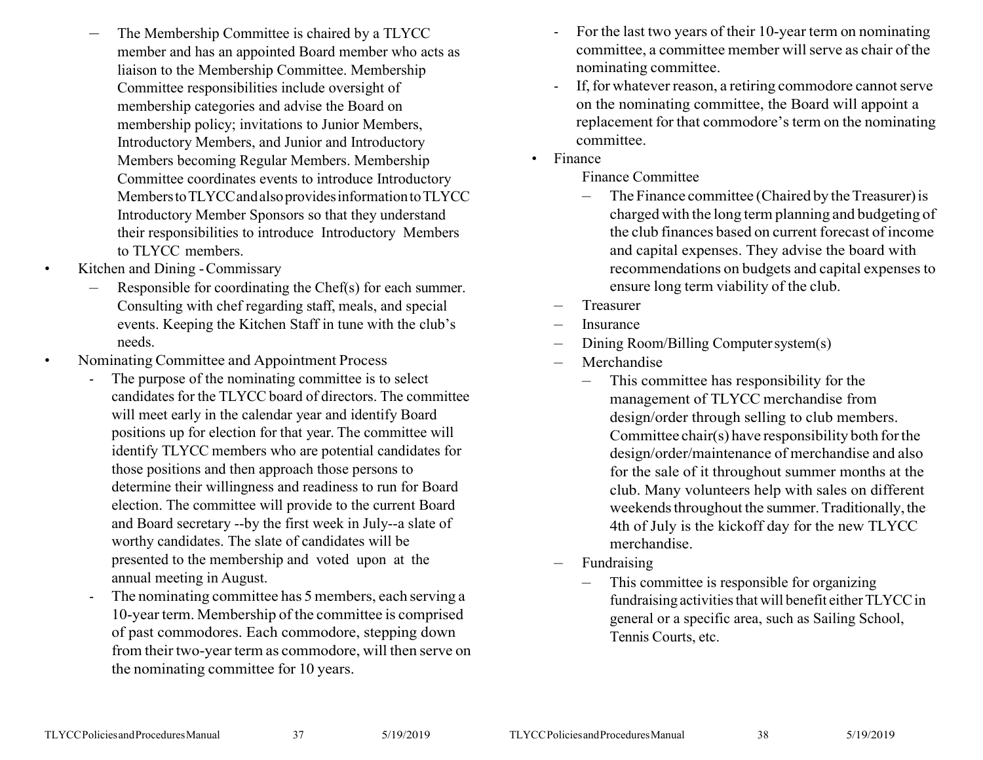- The Membership Committee is chaired by a TLYCC member and has an appointed Board member who acts as liaison to the Membership Committee. Membership Committee responsibilities include oversight of membership categories and advise the Board on membership policy; invitations to Junior Members, Introductory Members, and Junior and Introductory Members becoming Regular Members. Membership Committee coordinates events to introduce Introductory Members to TLYCC and also provides information to TLYCC Introductory Member Sponsors so that they understand their responsibilities to introduce Introductory Members to TLYCC members.
- Kitchen and Dining -Commissary
	- Responsible for coordinating the Chef(s) for each summer. Consulting with chef regarding staff, meals, and special events. Keeping the Kitchen Staff in tune with the club's needs.
- Nominating Committee and Appointment Process
	- The purpose of the nominating committee is to select candidates for the TLYCC board of directors. The committee will meet early in the calendar year and identify Board positions up for election for that year. The committee will identify TLYCC members who are potential candidates for those positions and then approach those persons to determine their willingness and readiness to run for Board election. The committee will provide to the current Board and Board secretary --by the first week in July--a slate of worthy candidates. The slate of candidates will be presented to the membership and voted upon at the annual meeting in August.
	- The nominating committee has 5 members, each serving a 10-yearterm. Membership of the committee is comprised of past commodores. Each commodore, stepping down from their two-year term as commodore, will then serve on the nominating committee for 10 years.
- For the last two years of their 10-year term on nominating committee, a committee member will serve as chair of the nominating committee.
- If, for whatever reason, a retiring commodore cannot serve on the nominating committee, the Board will appoint a replacement for that commodore'sterm on the nominating committee.
- Finance

Finance Committee

- The Finance committee (Chaired by the Treasurer) is charged with the long term planning and budgeting of the club finances based on current forecast of income and capital expenses. They advise the board with recommendations on budgets and capital expensesto ensure long term viability of the club.
- **Treasurer**
- **Insurance**
- Dining Room/Billing Computersystem(s)
- Merchandise
	- This committee has responsibility for the management of TLYCC merchandise from design/order through selling to club members. Committee chair(s) have responsibility both forthe design/order/maintenance of merchandise and also for the sale of it throughout summer months at the club. Many volunteers help with sales on different weekends throughout the summer. Traditionally, the 4th of July is the kickoff day for the new TLYCC merchandise.
- Fundraising
	- This committee is responsible for organizing fundraising activities that will benefit either TLYCC in general or a specific area, such as Sailing School, Tennis Courts, etc.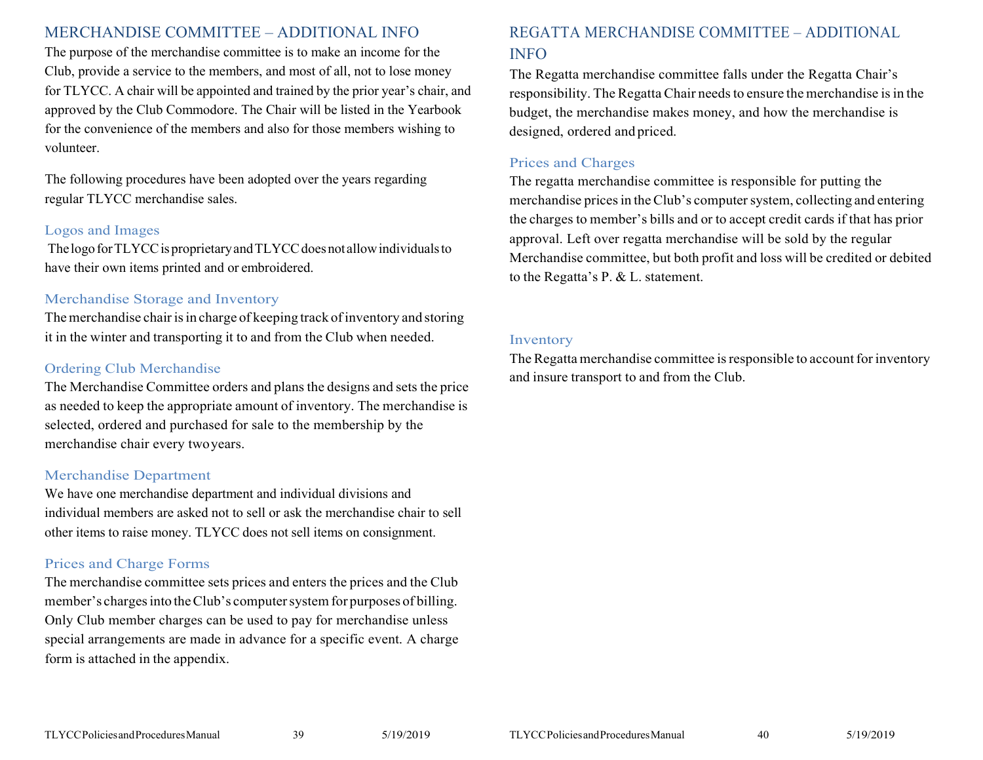### <span id="page-19-0"></span>MERCHANDISE COMMITTEE – ADDITIONAL INFO

The purpose of the merchandise committee is to make an income for the Club, provide a service to the members, and most of all, not to lose money for TLYCC. A chair will be appointed and trained by the prior year's chair, and approved by the Club Commodore. The Chair will be listed in the Yearbook for the convenience of the members and also for those members wishing to volunteer.

The following procedures have been adopted over the years regarding regular TLYCC merchandise sales.

#### Logos and Images

The logo for TLYCC is proprietary and TLYCC does not allow individuals to have their own items printed and or embroidered.

#### Merchandise Storage and Inventory

The merchandise chair is in charge of keeping track of inventory and storing it in the winter and transporting it to and from the Club when needed.

#### Ordering Club Merchandise

The Merchandise Committee orders and plans the designs and sets the price as needed to keep the appropriate amount of inventory. The merchandise is selected, ordered and purchased for sale to the membership by the merchandise chair every twoyears.

#### Merchandise Department

We have one merchandise department and individual divisions and individual members are asked not to sell or ask the merchandise chair to sell other items to raise money. TLYCC does not sell items on consignment.

#### Prices and Charge Forms

<span id="page-19-1"></span>The merchandise committee sets prices and enters the prices and the Club member's charges into the Club's computer system for purposes of billing. Only Club member charges can be used to pay for merchandise unless special arrangements are made in advance for a specific event. A charge form is attached in the appendix.

# REGATTA MERCHANDISE COMMITTEE – ADDITIONAL INFO

The Regatta merchandise committee falls under the Regatta Chair's responsibility. The Regatta Chair needs to ensure the merchandise is in the budget, the merchandise makes money, and how the merchandise is designed, ordered and priced.

### Prices and Charges

The regatta merchandise committee is responsible for putting the merchandise prices in the Club's computer system, collecting and entering the charges to member's bills and or to accept credit cards if that has prior approval. Left over regatta merchandise will be sold by the regular Merchandise committee, but both profit and loss will be credited or debited to the Regatta's P. & L. statement.

#### Inventory

The Regatta merchandise committee is responsible to account for inventory and insure transport to and from the Club.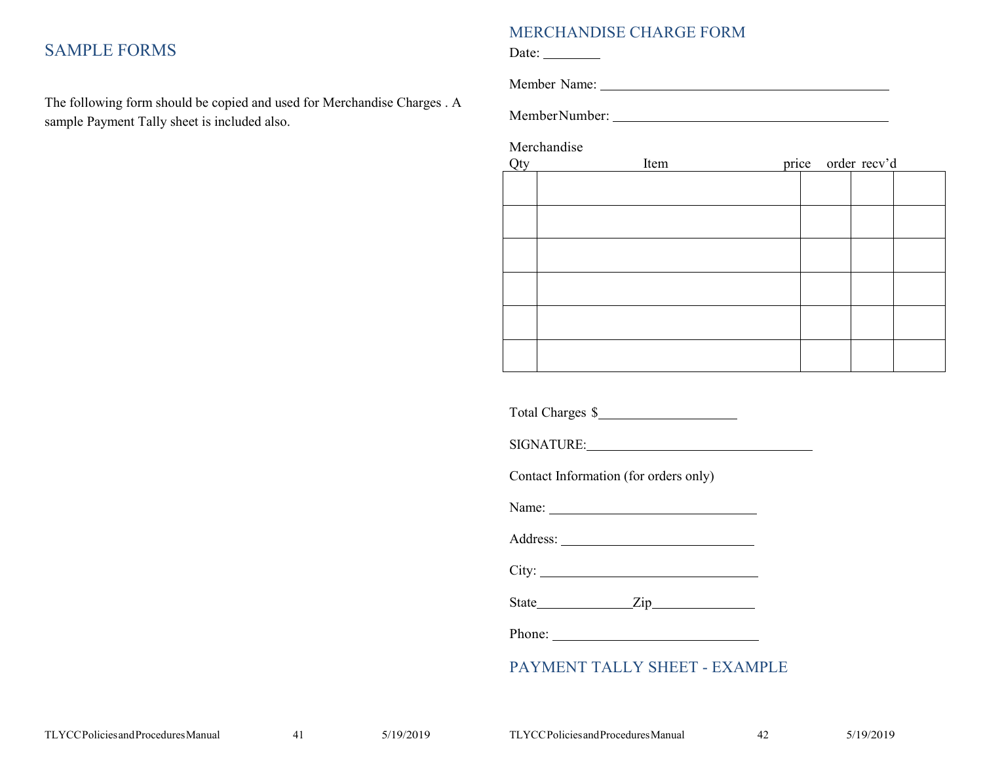# <span id="page-20-0"></span>SAMPLE FORMS

<span id="page-20-1"></span>The following form should be copied and used for Merchandise Charges . A sample Payment Tally sheet is included also.

#### MERCHANDISE CHARGE FORM

Date:  $\_\_$ 

Member Name:

MemberNumber:

Merchandise

| Qty | Item |  | price order recv'd |  |
|-----|------|--|--------------------|--|
|     |      |  |                    |  |
|     |      |  |                    |  |
|     |      |  |                    |  |
|     |      |  |                    |  |
|     |      |  |                    |  |
|     |      |  |                    |  |
|     |      |  |                    |  |
|     |      |  |                    |  |
|     |      |  |                    |  |
|     |      |  |                    |  |
|     |      |  |                    |  |
|     |      |  |                    |  |

Total Charges \$

SIGNATURE:

Contact Information (for orders only)

Name: Name: Name: Name: Name: Name: Name: Name: Name: Name: Name: Name: Name: Name: Name: Name: Name: Name: Name: Name: Name: Name: Name: Name: Name: Name: Name: Name: Name: Name: Name: Name: Name: Name: Name: Name: Name:

Address: No. 1998. The Manual School and The Manual School and The Manual School and The Manual School and The Manual School and The Manual School and The Manual School and The Manual School and The Manual School and The M

City:

State **Zip** 

Phone:

# PAYMENT TALLY SHEET - EXAMPLE

<span id="page-20-2"></span>